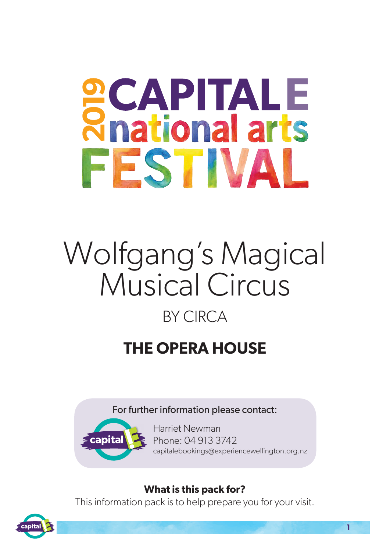# **PCAPITALE**<br>Rhational arts FESTIVAL

## Wolfgang's Magical Musical Circus BY CIRCA

### **THE OPERA HOUSE**

#### For further information please contact:



Harriet Newman Phone: 04 913 3742 capitalebookings@experiencewellington.org.nz

#### **What is this pack for?**

This information pack is to help prepare you for your visit.

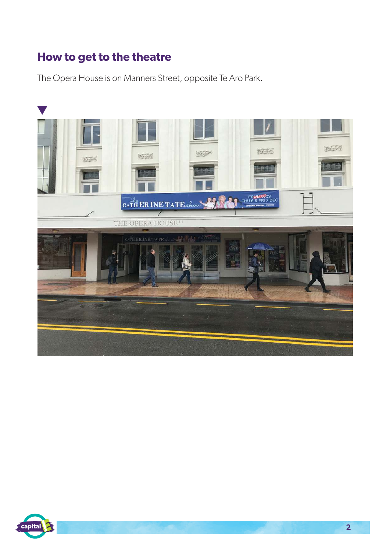#### **How to get to the theatre**

The Opera House is on Manners Street, opposite Te Aro Park.



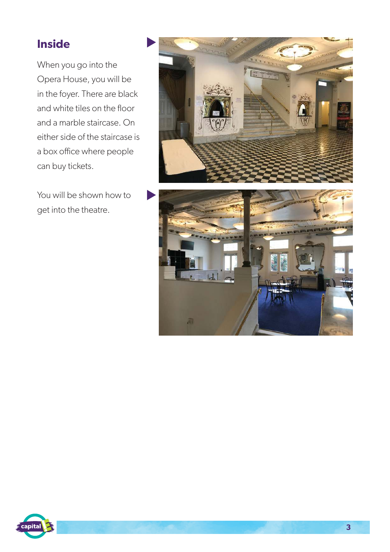#### **Inside**

When you go into the Opera House, you will be in the foyer. There are black and white tiles on the floor and a marble staircase. On either side of the staircase is a box office where people can buy tickets.

You will be shown how to get into the theatre.





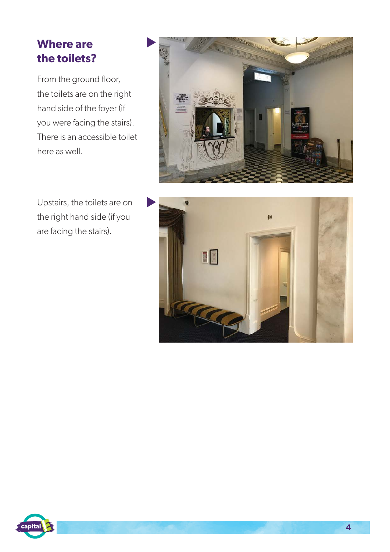#### **Where are the toilets?**

From the ground floor, the toilets are on the right hand side of the foyer (if you were facing the stairs). There is an accessible toilet here as well.



Upstairs, the toilets are on the right hand side (if you are facing the stairs).



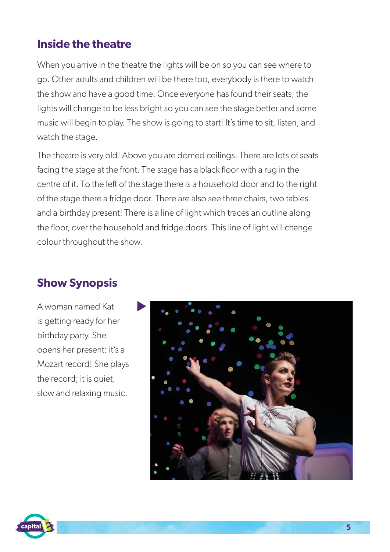#### **Inside the theatre**

When you arrive in the theatre the lights will be on so you can see where to go. Other adults and children will be there too, everybody is there to watch the show and have a good time. Once everyone has found their seats, the lights will change to be less bright so you can see the stage better and some music will begin to play. The show is going to start! It's time to sit, listen, and watch the stage.

The theatre is very old! Above you are domed ceilings. There are lots of seats facing the stage at the front. The stage has a black floor with a rug in the centre of it. To the left of the stage there is a household door and to the right of the stage there a fridge door. There are also see three chairs, two tables and a birthday present! There is a line of light which traces an outline along the floor, over the household and fridge doors. This line of light will change colour throughout the show.

#### **Show Synopsis**

A woman named Kat is getting ready for her birthday party. She opens her present: it's a Mozart record! She plays the record; it is quiet, slow and relaxing music.



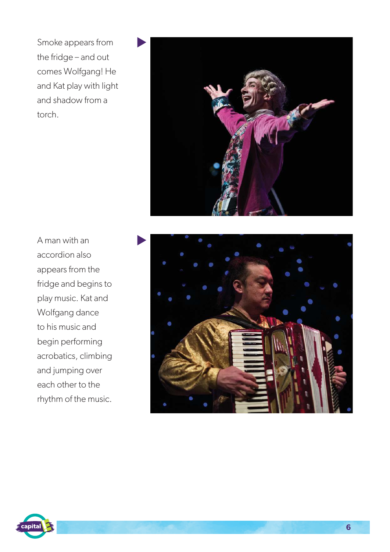Smoke appears from the fridge – and out comes Wolfgang! He and Kat play with light and shadow from a torch.



A man with an accordion also appears from the fridge and begins to play music. Kat and Wolfgang dance to his music and begin performing acrobatics, climbing and jumping over each other to the rhythm of the music.